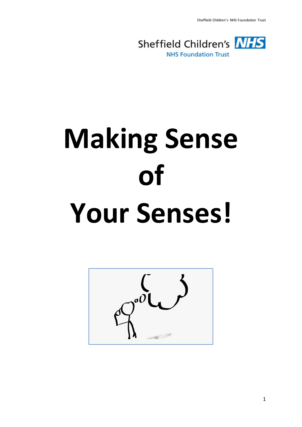Sheffield Children's NHS Foundation Trust



# **Making Sense of Your Senses!**

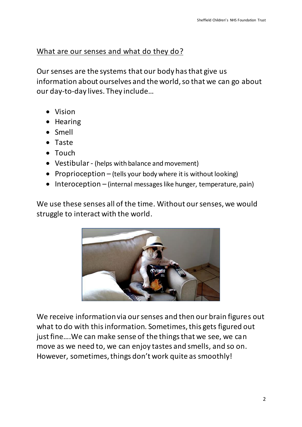# What are our senses and what do they do?

Our senses are the systems that our body has that give us information about ourselves and the world, so that we can go about our day-to-day lives. They include…

- Vision
- Hearing
- Smell
- Taste
- Touch
- Vestibular- (helps with balance and movement)
- Proprioception (tells your body where it is without looking)
- $\bullet$  Interoception (internal messages like hunger, temperature, pain)

We use these senses all of the time. Without our senses, we would struggle to interact with the world.



We receive information via our senses and then our brain figures out what to do with this information. Sometimes, this gets figured out just fine….We can make sense of the things that we see, we can move as we need to, we can enjoy tastes and smells, and so on. However, sometimes, things don't work quite as smoothly!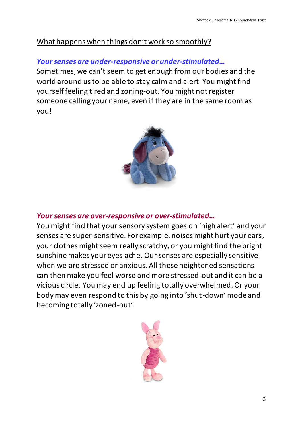# What happens when things don't work so smoothly?

# *Your senses are under-responsive or under-stimulated…*

Sometimes, we can't seem to get enough from our bodies and the world around us to be able to stay calm and alert. You might find yourself feeling tired and zoning-out. You might not register someone calling your name, even if they are in the same room as you!



# *Your senses are over-responsive or over-stimulated…*

You might find that your sensory system goes on 'high alert' and your senses are super-sensitive. For example, noises might hurt your ears, your clothes might seem really scratchy, or you might find the bright sunshine makes your eyes ache. Our senses are especially sensitive when we are stressed or anxious. All these heightened sensations can then make you feel worse and more stressed-out and it can be a vicious circle. You may end up feeling totally overwhelmed. Or your body may even respond to this by going into 'shut-down' mode and becoming totally 'zoned-out'.

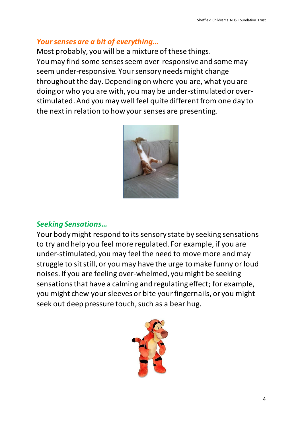## *Your senses are a bit of everything…*

Most probably, you will be a mixture of these things. You may find some senses seem over-responsive and some may seem under-responsive. Your sensory needs might change throughout the day. Depending on where you are, what you are doing or who you are with, you may be under-stimulated or overstimulated. And you may well feel quite different from one day to the next in relation to how your senses are presenting.



## *Seeking Sensations…*

Your body might respond to its sensory state by seeking sensations to try and help you feel more regulated. For example, if you are under-stimulated, you may feel the need to move more and may struggle to sit still, or you may have the urge to make funny or loud noises. If you are feeling over-whelmed, you might be seeking sensations that have a calming and regulating effect; for example, you might chew your sleeves or bite your fingernails, or you might seek out deep pressure touch, such as a bear hug.

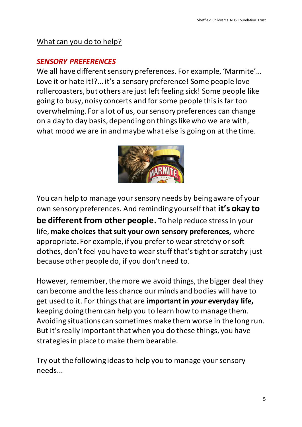# What can you do to help?

## *SENSORY PREFERENCES*

We all have different sensory preferences. For example, 'Marmite'… Love it or hate it!?... it's a sensory preference! Some people love rollercoasters, but others are just left feeling sick! Some people like going to busy, noisy concerts and for some people this is far too overwhelming. For a lot of us, our sensory preferences can change on a day to day basis, depending on things like who we are with, what mood we are in and maybe what else is going on at the time.



You can help to manage your sensory needs by being aware of your own sensory preferences. And reminding yourself that **it's okay to** 

**be different from other people.** To help reduce stress in your life, **make choices that suit your own sensory preferences,** where appropriate**.** For example, if you prefer to wear stretchy or soft clothes, don't feel you have to wear stuff that's tight or scratchy just because other people do, if you don't need to.

However, remember, the more we avoid things, the bigger deal they can become and the less chance our minds and bodies will have to get used to it. For things that are **important in** *your* **everyday life,** keeping doing them can help you to learn how to manage them. Avoiding situations can sometimes make them worse in the long run. But it's really important that when you do these things, you have strategies in place to make them bearable.

Try out the following ideas to help you to manage your sensory needs...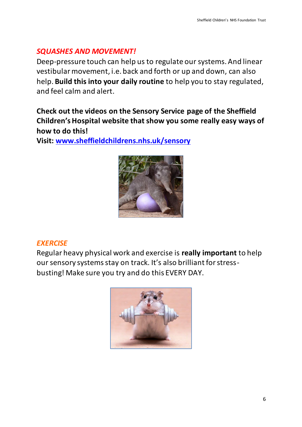## *SQUASHES AND MOVEMENT!*

Deep-pressure touch can help us to regulate our systems. And linear vestibular movement, i.e. back and forth or up and down, can also help. **Build this into your daily routine** to help you to stay regulated, and feel calm and alert.

**Check out the videos on the Sensory Service page of the Sheffield Children's Hospital website that show you some really easy ways of how to do this!** 

**Visit: [www.sheffieldchildrens.nhs.uk/sensory](http://www.sheffieldchildrens.nhs.uk/sensory)**



#### *EXERCISE*

Regular heavy physical work and exercise is **really important** to help our sensory systems stay on track. It's also brilliant for stressbusting! Make sure you try and do this EVERY DAY.

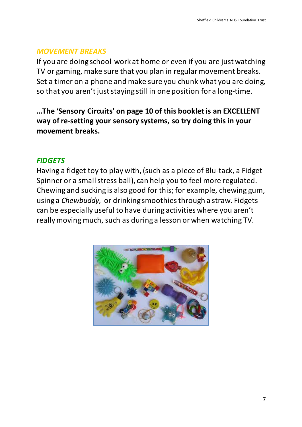#### *MOVEMENT BREAKS*

If you are doing school-work at home or even if you are just watching TV or gaming, make sure that you plan in regular movement breaks. Set a timer on a phone and make sure you chunk what you are doing, so that you aren't just staying still in one position for a long-time.

**…The 'Sensory Circuits' on page 10 of this booklet is an EXCELLENT way of re-setting your sensory systems, so try doing this in your movement breaks.**

#### *FIDGETS*

Having a fidget toy to play with, (such as a piece of Blu-tack, a Fidget Spinner or a small stress ball), can help you to feel more regulated. Chewing and sucking is also good for this; for example, chewing gum, using a *Chewbuddy,* or drinking smoothies through a straw. Fidgets can be especially useful to have during activities where you aren't really moving much, such as during a lesson or when watching TV.

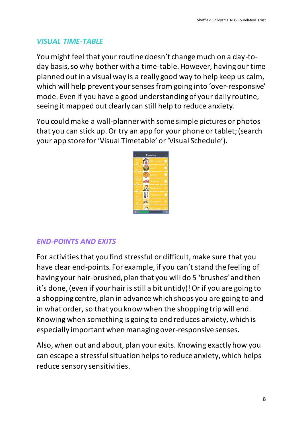## *VISUAL TIME-TABLE*

You might feel that your routine doesn't change much on a day-today basis, so why bother with a time-table. However, having our time planned out in a visual way is a really good way to help keep us calm, which will help prevent your senses from going into 'over-responsive' mode. Even if you have a good understanding of your daily routine, seeing it mapped out clearly can still help to reduce anxiety.

You could make a wall-planner with some simple pictures or photos that you can stick up. Or try an app for your phone or tablet; (search your app store for 'Visual Timetable' or 'Visual Schedule').



#### *END-POINTS AND EXITS*

For activities that you find stressful or difficult, make sure that you have clear end-points. For example, if you can't stand the feeling of having your hair-brushed, plan that you will do 5 'brushes' and then it's done, (even if your hair is still a bit untidy)! Or if you are going to a shopping centre, plan in advance which shops you are going to and in what order, so that you know when the shopping trip will end. Knowing when something is going to end reduces anxiety, which is especially important when managing over-responsive senses.

Also, when out and about, plan your exits. Knowing exactly how you can escape a stressful situation helps to reduce anxiety, which helps reduce sensory sensitivities.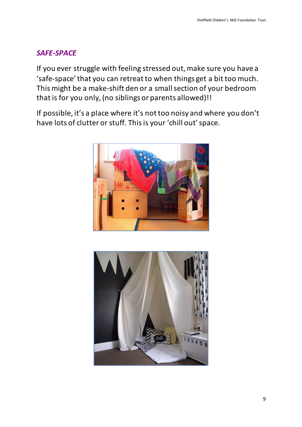## *SAFE-SPACE*

If you ever struggle with feeling stressed out, make sure you have a 'safe-space' that you can retreat to when things get a bit too much. This might be a make-shift den or a small section of your bedroom that is for you only, (no siblings or parents allowed)!!

If possible, it's a place where it's not too noisy and where you don't have lots of clutter or stuff. This is your 'chill out' space.



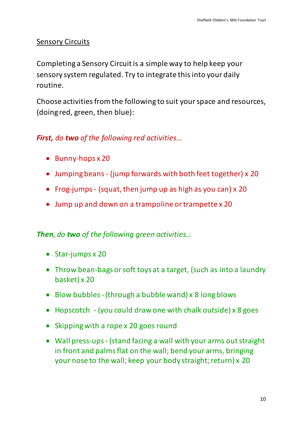## Sensory Circuits

Completing a Sensory Circuit is a simple way to help keep your sensory system regulated. Try to integrate thisinto your daily routine.

Choose activities from the following to suit your space and resources, (doing red, green, then blue):

# *First, do two of the following red activities…*

- Bunny-hops x 20
- Jumping beans (jump forwards with both feet together) x 20
- Frog-jumps (squat, then jump up as high as you can) x 20
- Jump up and down on a trampoline or trampette x 20

## *Then, do two of the following green activities…*

- Star-jumps x 20
- Throw bean-bags or soft toys at a target, (such as into a laundry basket) x 20
- $\bullet$  Blow bubbles (through a bubble wand) x 8 long blows
- Hopscotch (you could draw one with chalk outside) x 8 goes
- Skipping with a rope x 20 goes round
- Wall press-ups- (stand facing a wall with your arms out straight in front and palms flat on the wall; bend your arms, bringing your nose to the wall; keep your body straight; return) x 20